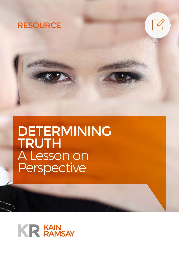



# DETERMINING TRUTH A Lesson on Perspective

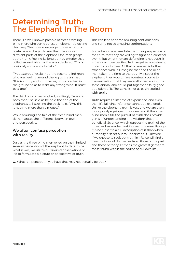## Determining Truth: The Elephant In The Room

There is a well-known parable of three traveling blind men, who come across an elephant blocking their way. The three men, eager to see what this obstacle was, began to run their hands over different parts of the elephant. One man grasps at the trunk. Feeling its long bumpy exterior that coiled around his arm, the man declared, "This is obviously some sort of snake."

"Preposterous," exclaimed the second blind man, who was feeling around the leg of the animal. "This is sturdy and immovable, firmly planted in the ground so as to resist any strong wind. It must be a tree."

The third blind man laughed, scoffingly. "You are both mad," he said as he held the end of the elephant's tail, stroking the thick hairs. "Why this is nothing more than a mouse."

While amusing, the tale of the three blind men demonstrates the difference between truth and perspective.

#### We often confuse perception with reality.

Just as the three blind men relied on their limited sensory perception of the elephant to determine what it was, we utilize our limited observations of life to formulate a picture or perspective of truth.

This can lead to some amusing contradictions, and some not so amusing confrontations.

Some become so resolute that their perspective is the truth that they are willing to fight and contend over it. But what they are defending is not truth, it is their own perspective. Truth requires no defence. It stands on its own. All that is needed is further experience with it. I imagine that had the blind men taken the time to thoroughly inspect the elephant, they would have eventually come to the realization that they were all experiencing the same animal and could put together a fairly good depiction of it. The same is not as easily settled with truth.

Truth requires a lifetime of experience, and even then it's full circumference cannot be explored. Unlike the elephant, truth is vast and we are even more poorly equipped to understand it than the blind men. Still, the pursuit of truth does provide gems of understanding and wisdom that are beneficial. Science, which pursues the truth of the universe, has made great innovations, even though it is no closer to a full description of it than when humanity first set out to understand it. Likewise, if we choose to seek out truth in life, we will find a treasure trove of discoveries from those of the past and those of today. Perhaps the greatest gems are those found within the course of our own life.

Q. What is a perception you have that may not actually be true?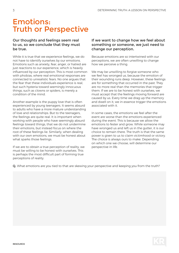### Emotions: Truth or Perspective

### Our thoughts and feelings seem real to us, so we conclude that they must be true.

While it is true that we experience feelings, we do not have to identify ourselves by our emotions. Emotions such as anxiety, fear, anger, or hatred are just reactions to our experience, which is heavily influenced by our perception. This is most common with phobias, where real emotional responses are connected to unrealistic fears. No one argues that the fear that these individuals experience is real, but such hysteria toward seemingly innocuous things, such as clowns or spiders, is merely a condition of the mind.

Another example is the puppy love that is often experienced by young teenagers. It seems absurd to adults who have a more mature understanding of love and relationships. But to the teenagers, the feelings are quite real. It is important when working with people who have seemingly absurd feelings toward things, that we do not undermine their emotions, but instead focus on where the root of these feelings lie. Similarly, when dealing with our own emotions, we must be honest about what sparks those feelings.

If we are to obtain a true perception of reality, we must be willing to be honest with ourselves. This is perhaps the most difficult part of forming true perceptions of reality.

#### If we want to change how we feel about something or someone, we just need to change our perception.

Because emotions are so intertwined with our perceptions, we are often unwilling to change how we perceive a thing.

We may be unwilling to forgive someone who we feel has wronged us, because the emotion of their wounding runs deep. However, these feelings are for something that occurred in the past. They are no more real than the memories that trigger them. If we are to be honest with ourselves, we must accept that the feelings moving forward are caused by us. Every time we drag up the memory and dwell on it, we in essence trigger the emotions associated with it.

In some cases, the emotions we feel after the event are worse than the emotions experienced during the event. This is because we allow the emotions to fester and grow. While someone may have wronged us and left us in the gutter, it is our choice to remain there. The truth is that the same power is given to us to claim victimhood or victory. The choice is always ours to make. Depending on which one we choose, will determine our perspective in life.

Q. What emotions are you tied to that are skewing your perspective and keeping you from the truth?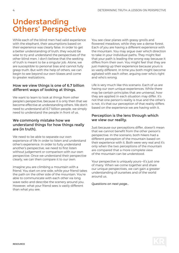## Understanding Others' Perspective

While each of the blind men had valid experience with the elephant, their assumptions based on their experience was clearly false. In order to get a better understanding of truth, they would be wise to try and understand the perspectives of the other blind men. I don't believe that the seeking of truth is meant to be a singular job. Alone, we are susceptible to personal bias and cannot fully grasp truth. But with the help of others, we can begin to see beyond our own biases and come to greater realizations.

### How we view things is one of 6.7 billion different ways of looking at things.

We want to learn to look at things from other people's perspective, because it is only then that we become effective at understanding others. We don't need to understand all 6.7 billion people, we simply need to understand the people in front of us.

### We commonly mistake how we understand things for how things really are (in truth).

We need to be able to separate our own experience of life in order to listen and understand other's experience. In order to fully understand another's perspective, we need to first listen without judgement or comparison with our own perspective. Once we understand their perspective clearly, we can then compare it to our own.

Imagine you are climbing a mountain with a friend. You start on one side, while your friend takes the path on the other side of the mountain. You're able to communicate with each other via long wave radio and describe the scenery around you. However, what your friend sees is vastly different than what you see.

You see clear planes with grassy gnolls and flowered meadows, while they see a dense forest. Each of you are having a different experience with the mountain. You may argue over which direction to take in your individual paths. They might feel that your path is leading the wrong way because it differs from their own. You might feel that they are just making up their experience because yours is so vastly different. In time you both might become agitated with each other, arguing over who's right and who's wrong.

Life is very much like this scenario. Each of us are having our own unique experiences. While there may be certain principles that are universal, how they are applied in each situation may differ. It's not that one person's reality is true and the other's is not, it's that our perception of that reality differs based on the experience we are having with it.

### Perception is the lens through which we view our reality.

Just because our perceptions differ, doesn't mean that we cannot benefit from the other person's perspective. In the scenario, both hikers had a different perception of the mountain based on their experience with it. Both were very real and it's only when the two perceptions of the mountain are compared that a more complete view of the mountain can be understood.

Your perspective is uniquely yours—it's just one of many. When we come together and share our unique perspectives, we can gain a greater understanding of ourselves and of the world around us.

*Questions on next page…*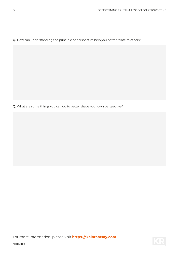Q. How can understanding the principle of perspective help you better relate to others?

Q. What are some things you can do to better shape your own perspective?